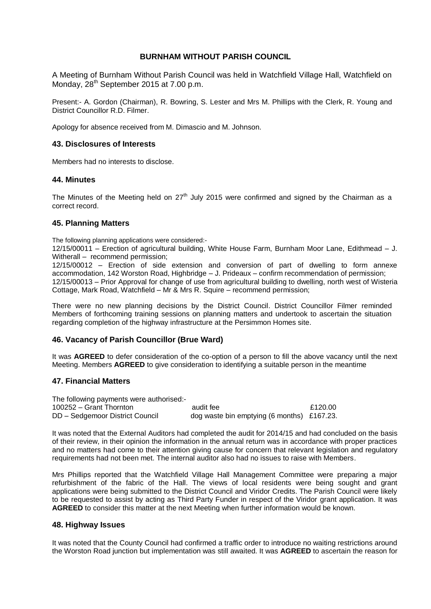# **BURNHAM WITHOUT PARISH COUNCIL**

A Meeting of Burnham Without Parish Council was held in Watchfield Village Hall, Watchfield on Monday, 28<sup>th</sup> September 2015 at 7.00 p.m.

Present:- A. Gordon (Chairman), R. Bowring, S. Lester and Mrs M. Phillips with the Clerk, R. Young and District Councillor R.D. Filmer.

Apology for absence received from M. Dimascio and M. Johnson.

# **43. Disclosures of Interests**

Members had no interests to disclose.

## **44. Minutes**

The Minutes of the Meeting held on  $27<sup>th</sup>$  July 2015 were confirmed and signed by the Chairman as a correct record.

## **45. Planning Matters**

The following planning applications were considered:-

12/15/00011 – Erection of agricultural building, White House Farm, Burnham Moor Lane, Edithmead – J. Witherall – recommend permission;

12/15/00012 – Erection of side extension and conversion of part of dwelling to form annexe accommodation, 142 Worston Road, Highbridge – J. Prideaux – confirm recommendation of permission; 12/15/00013 – Prior Approval for change of use from agricultural building to dwelling, north west of Wisteria Cottage, Mark Road, Watchfield – Mr & Mrs R. Squire – recommend permission;

There were no new planning decisions by the District Council. District Councillor Filmer reminded Members of forthcoming training sessions on planning matters and undertook to ascertain the situation regarding completion of the highway infrastructure at the Persimmon Homes site.

## **46. Vacancy of Parish Councillor (Brue Ward)**

It was **AGREED** to defer consideration of the co-option of a person to fill the above vacancy until the next Meeting. Members **AGREED** to give consideration to identifying a suitable person in the meantime

## **47. Financial Matters**

| The following payments were authorised:- |                                            |         |
|------------------------------------------|--------------------------------------------|---------|
| 100252 – Grant Thornton                  | audit fee                                  | £120.00 |
| DD - Sedgemoor District Council          | dog waste bin emptying (6 months) £167.23. |         |

It was noted that the External Auditors had completed the audit for 2014/15 and had concluded on the basis of their review, in their opinion the information in the annual return was in accordance with proper practices and no matters had come to their attention giving cause for concern that relevant legislation and regulatory requirements had not been met. The internal auditor also had no issues to raise with Members.

Mrs Phillips reported that the Watchfield Village Hall Management Committee were preparing a major refurbishment of the fabric of the Hall. The views of local residents were being sought and grant applications were being submitted to the District Council and Viridor Credits. The Parish Council were likely to be requested to assist by acting as Third Party Funder in respect of the Viridor grant application. It was **AGREED** to consider this matter at the next Meeting when further information would be known.

#### **48. Highway Issues**

It was noted that the County Council had confirmed a traffic order to introduce no waiting restrictions around the Worston Road junction but implementation was still awaited. It was **AGREED** to ascertain the reason for